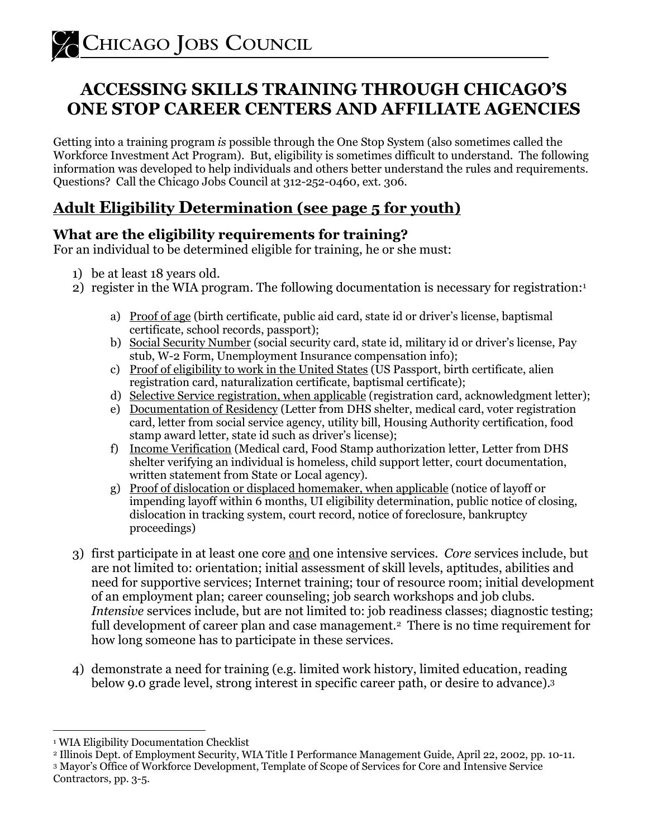## **ACCESSING SKILLS TRAINING THROUGH CHICAGO'S ONE STOP CAREER CENTERS AND AFFILIATE AGENCIES**

Getting into a training program *is* possible through the One Stop System (also sometimes called the Workforce Investment Act Program). But, eligibility is sometimes difficult to understand. The following information was developed to help individuals and others better understand the rules and requirements. Questions? Call the Chicago Jobs Council at 312-252-0460, ext. 306.

## **Adult Eligibility Determination (see page 5 for youth)**

#### **What are the eligibility requirements for training?**

For an individual to be determined eligible for training, he or she must:

- 1) be at least 18 years old.
- 2) register in the WIA program. The following documentation is necessary for registration:<sup>1</sup>
	- a) Proof of age (birth certificate, public aid card, state id or driver's license, baptismal certificate, school records, passport);
	- b) Social Security Number (social security card, state id, military id or driver's license, Pay stub, W-2 Form, Unemployment Insurance compensation info);
	- c) Proof of eligibility to work in the United States (US Passport, birth certificate, alien registration card, naturalization certificate, baptismal certificate);
	- d) Selective Service registration, when applicable (registration card, acknowledgment letter);
	- e) Documentation of Residency (Letter from DHS shelter, medical card, voter registration card, letter from social service agency, utility bill, Housing Authority certification, food stamp award letter, state id such as driver's license);
	- f) Income Verification (Medical card, Food Stamp authorization letter, Letter from DHS shelter verifying an individual is homeless, child support letter, court documentation, written statement from State or Local agency).
	- g) Proof of dislocation or displaced homemaker, when applicable (notice of layoff or impending layoff within 6 months, UI eligibility determination, public notice of closing, dislocation in tracking system, court record, notice of foreclosure, bankruptcy proceedings)
- 3) first participate in at least one core and one intensive services. *Core* services include, but are not limited to: orientation; initial assessment of skill levels, aptitudes, abilities and need for supportive services; Internet training; tour of resource room; initial development of an employment plan; career counseling; job search workshops and job clubs. *Intensive* services include, but are not limited to: job readiness classes; diagnostic testing; full development of career plan and case management.<sup>2</sup> There is no time requirement for how long someone has to participate in these services.
- 4) demonstrate a need for training (e.g. limited work history, limited education, reading below 9.0 grade level, strong interest in specific career path, or desire to advance).<sup>3</sup>

 $\overline{a}$ 1 WIA Eligibility Documentation Checklist

<sup>2</sup> Illinois Dept. of Employment Security, WIA Title I Performance Management Guide, April 22, 2002, pp. 10-11.

<sup>3</sup> Mayor's Office of Workforce Development, Template of Scope of Services for Core and Intensive Service Contractors, pp. 3-5.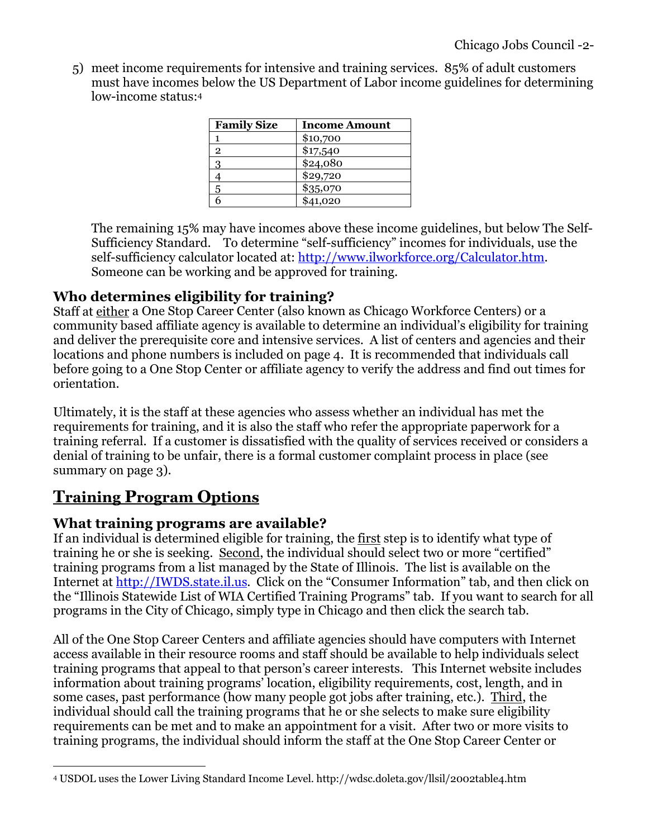5) meet income requirements for intensive and training services. 85% of adult customers must have incomes below the US Department of Labor income guidelines for determining low-income status:<sup>4</sup>

| <b>Family Size</b> | <b>Income Amount</b> |
|--------------------|----------------------|
|                    | \$10,700             |
| $\overline{2}$     | \$17,540             |
| 3                  | \$24,080             |
|                    | \$29,720             |
|                    | \$35,070             |
|                    | \$41,020             |

The remaining 15% may have incomes above these income guidelines, but below The Self-Sufficiency Standard. To determine "self-sufficiency" incomes for individuals, use the self-sufficiency calculator located at: http://www.ilworkforce.org/Calculator.htm. Someone can be working and be approved for training.

#### **Who determines eligibility for training?**

Staff at either a One Stop Career Center (also known as Chicago Workforce Centers) or a community based affiliate agency is available to determine an individual's eligibility for training and deliver the prerequisite core and intensive services. A list of centers and agencies and their locations and phone numbers is included on page 4. It is recommended that individuals call before going to a One Stop Center or affiliate agency to verify the address and find out times for orientation.

Ultimately, it is the staff at these agencies who assess whether an individual has met the requirements for training, and it is also the staff who refer the appropriate paperwork for a training referral. If a customer is dissatisfied with the quality of services received or considers a denial of training to be unfair, there is a formal customer complaint process in place (see summary on page 3).

## **Training Program Options**

 $\overline{a}$ 

#### **What training programs are available?**

If an individual is determined eligible for training, the first step is to identify what type of training he or she is seeking. Second, the individual should select two or more "certified" training programs from a list managed by the State of Illinois. The list is available on the Internet at http://IWDS.state.il.us. Click on the "Consumer Information" tab, and then click on the "Illinois Statewide List of WIA Certified Training Programs" tab. If you want to search for all programs in the City of Chicago, simply type in Chicago and then click the search tab.

All of the One Stop Career Centers and affiliate agencies should have computers with Internet access available in their resource rooms and staff should be available to help individuals select training programs that appeal to that person's career interests. This Internet website includes information about training programs' location, eligibility requirements, cost, length, and in some cases, past performance (how many people got jobs after training, etc.). Third, the individual should call the training programs that he or she selects to make sure eligibility requirements can be met and to make an appointment for a visit. After two or more visits to training programs, the individual should inform the staff at the One Stop Career Center or

<sup>4</sup> USDOL uses the Lower Living Standard Income Level. http://wdsc.doleta.gov/llsil/2002table4.htm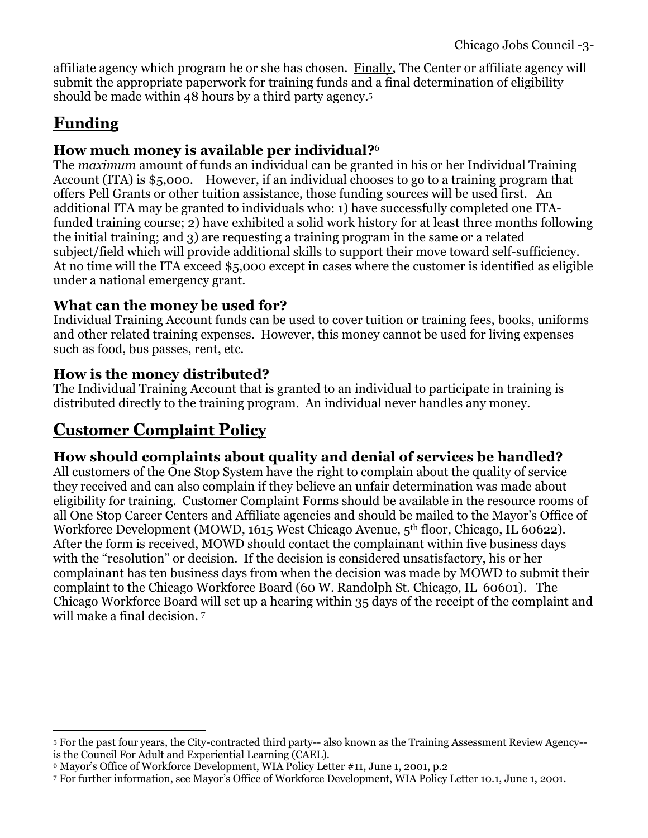affiliate agency which program he or she has chosen. Finally, The Center or affiliate agency will submit the appropriate paperwork for training funds and a final determination of eligibility should be made within 48 hours by a third party agency.<sup>5</sup>

# **Funding**

#### **How much money is available per individual?** 6

The *maximum* amount of funds an individual can be granted in his or her Individual Training Account (ITA) is \$5,000. However, if an individual chooses to go to a training program that offers Pell Grants or other tuition assistance, those funding sources will be used first. An additional ITA may be granted to individuals who: 1) have successfully completed one ITAfunded training course; 2) have exhibited a solid work history for at least three months following the initial training; and 3) are requesting a training program in the same or a related subject/field which will provide additional skills to support their move toward self-sufficiency. At no time will the ITA exceed \$5,000 except in cases where the customer is identified as eligible under a national emergency grant.

#### **What can the money be used for?**

Individual Training Account funds can be used to cover tuition or training fees, books, uniforms and other related training expenses. However, this money cannot be used for living expenses such as food, bus passes, rent, etc.

#### **How is the money distributed?**

The Individual Training Account that is granted to an individual to participate in training is distributed directly to the training program. An individual never handles any money.

## **Customer Complaint Policy**

#### **How should complaints about quality and denial of services be handled?**

All customers of the One Stop System have the right to complain about the quality of service they received and can also complain if they believe an unfair determination was made about eligibility for training. Customer Complaint Forms should be available in the resource rooms of all One Stop Career Centers and Affiliate agencies and should be mailed to the Mayor's Office of Workforce Development (MOWD, 1615 West Chicago Avenue, 5<sup>th</sup> floor, Chicago, IL 60622). After the form is received, MOWD should contact the complainant within five business days with the "resolution" or decision. If the decision is considered unsatisfactory, his or her complainant has ten business days from when the decision was made by MOWD to submit their complaint to the Chicago Workforce Board (60 W. Randolph St. Chicago, IL 60601). The Chicago Workforce Board will set up a hearing within 35 days of the receipt of the complaint and will make a final decision. <sup>7</sup>

 $\overline{a}$ <sup>5</sup> For the past four years, the City-contracted third party-- also known as the Training Assessment Review Agency- is the Council For Adult and Experiential Learning (CAEL).

<sup>6</sup> Mayor's Office of Workforce Development, WIA Policy Letter #11, June 1, 2001, p.2

<sup>7</sup> For further information, see Mayor's Office of Workforce Development, WIA Policy Letter 10.1, June 1, 2001.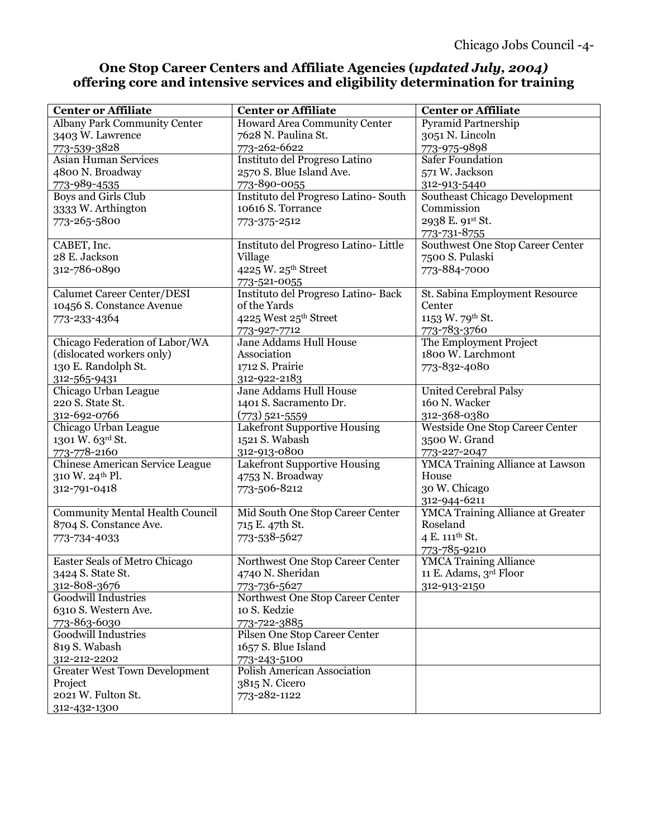#### **One Stop Career Centers and Affiliate Agencies (***updated July, 2004)* **offering core and intensive services and eligibility determination for training**

| <b>Center or Affiliate</b>             | <b>Center or Affiliate</b>            | <b>Center or Affiliate</b>               |
|----------------------------------------|---------------------------------------|------------------------------------------|
| Albany Park Community Center           | Howard Area Community Center          | Pyramid Partnership                      |
| 3403 W. Lawrence                       | 7628 N. Paulina St.                   | 3051 N. Lincoln                          |
| 773-539-3828                           | 773-262-6622                          | 773-975-9898                             |
| <b>Asian Human Services</b>            | Instituto del Progreso Latino         | <b>Safer Foundation</b>                  |
| 4800 N. Broadway                       | 2570 S. Blue Island Ave.              | 571 W. Jackson                           |
| 773-989-4535                           | 773-890-0055                          | 312-913-5440                             |
| Boys and Girls Club                    | Instituto del Progreso Latino-South   | Southeast Chicago Development            |
| 3333 W. Arthington                     | 10616 S. Torrance                     | Commission                               |
| 773-265-5800                           | 773-375-2512                          | 2938 E. 91st St.                         |
|                                        |                                       | 773-731-8755                             |
| CABET, Inc.                            | Instituto del Progreso Latino- Little | Southwest One Stop Career Center         |
| 28 E. Jackson                          | Village                               | 7500 S. Pulaski                          |
| 312-786-0890                           | 4225 W. 25th Street                   | 773-884-7000                             |
|                                        | 773-521-0055                          |                                          |
| Calumet Career Center/DESI             | Instituto del Progreso Latino-Back    | St. Sabina Employment Resource           |
| 10456 S. Constance Avenue              | of the Yards                          | Center                                   |
| 773-233-4364                           | 4225 West 25th Street                 | 1153 W. 79th St.                         |
|                                        | 773-927-7712                          | 773-783-3760                             |
| Chicago Federation of Labor/WA         | Jane Addams Hull House                | The Employment Project                   |
| (dislocated workers only)              | Association                           | 1800 W. Larchmont                        |
| 130 E. Randolph St.                    | 1712 S. Prairie                       | 773-832-4080                             |
| 312-565-9431                           | 312-922-2183                          |                                          |
| Chicago Urban League                   | Jane Addams Hull House                | <b>United Cerebral Palsy</b>             |
| 220 S. State St.                       | 1401 S. Sacramento Dr.                | 160 N. Wacker                            |
| 312-692-0766                           | $(773)$ 521-5559                      | 312-368-0380                             |
| Chicago Urban League                   | Lakefront Supportive Housing          | Westside One Stop Career Center          |
| 1301 W. 63rd St.                       | 1521 S. Wabash                        | 3500 W. Grand                            |
| 773-778-2160                           | 312-913-0800                          | 773-227-2047                             |
| Chinese American Service League        | Lakefront Supportive Housing          | <b>YMCA Training Alliance at Lawson</b>  |
| 310 W. 24th Pl.                        | 4753 N. Broadway                      | House                                    |
| 312-791-0418                           | 773-506-8212                          | 30 W. Chicago                            |
|                                        |                                       | 312-944-6211                             |
| <b>Community Mental Health Council</b> | Mid South One Stop Career Center      | <b>YMCA Training Alliance at Greater</b> |
| 8704 S. Constance Ave.                 | 715 E. 47th St.                       | Roseland                                 |
| 773-734-4033                           | 773-538-5627                          | 4 E. 111 <sup>th</sup> St.               |
|                                        |                                       | 773-785-9210                             |
| Easter Seals of Metro Chicago          | Northwest One Stop Career Center      | <b>YMCA Training Alliance</b>            |
| 3424 S. State St.                      | 4740 N. Sheridan                      | 11 E. Adams, 3rd Floor                   |
| 312-808-3676                           | 773-736-5627                          | 312-913-2150                             |
| Goodwill Industries                    | Northwest One Stop Career Center      |                                          |
| 6310 S. Western Ave.                   | 10 S. Kedzie                          |                                          |
| 773-863-6030                           | 773-722-3885                          |                                          |
| <b>Goodwill Industries</b>             | Pilsen One Stop Career Center         |                                          |
| 819 S. Wabash                          | 1657 S. Blue Island                   |                                          |
| 312-212-2202                           | 773-243-5100                          |                                          |
| <b>Greater West Town Development</b>   | Polish American Association           |                                          |
| Project                                | 3815 N. Cicero                        |                                          |
| 2021 W. Fulton St.                     | 773-282-1122                          |                                          |
| 312-432-1300                           |                                       |                                          |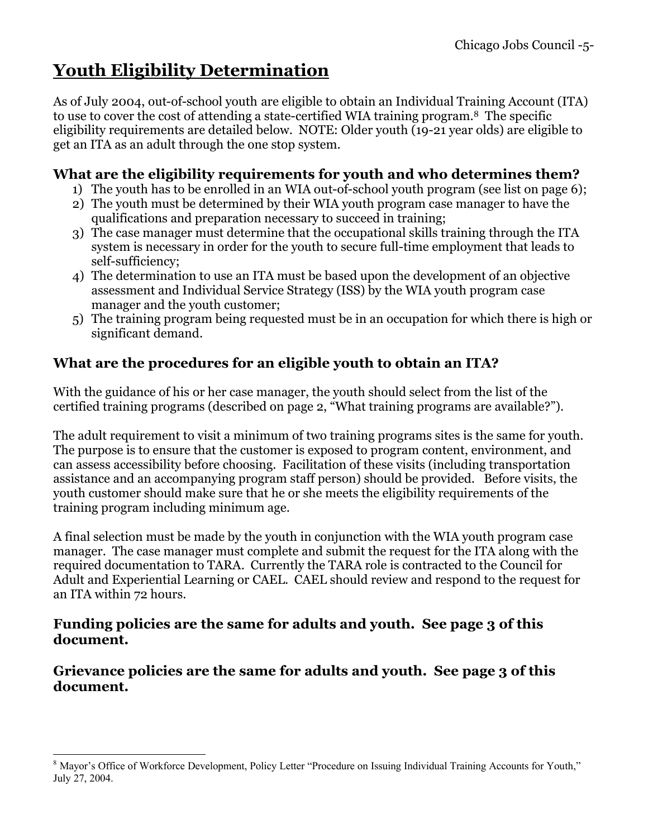# **Youth Eligibility Determination**

As of July 2004, out-of-school youth are eligible to obtain an Individual Training Account (ITA) to use to cover the cost of attending a state-certified WIA training program.8 The specific eligibility requirements are detailed below. NOTE: Older youth (19-21 year olds) are eligible to get an ITA as an adult through the one stop system.

#### **What are the eligibility requirements for youth and who determines them?**

- 1) The youth has to be enrolled in an WIA out-of-school youth program (see list on page 6);
- 2) The youth must be determined by their WIA youth program case manager to have the qualifications and preparation necessary to succeed in training;
- 3) The case manager must determine that the occupational skills training through the ITA system is necessary in order for the youth to secure full-time employment that leads to self-sufficiency;
- 4) The determination to use an ITA must be based upon the development of an objective assessment and Individual Service Strategy (ISS) by the WIA youth program case manager and the youth customer;
- 5) The training program being requested must be in an occupation for which there is high or significant demand.

### **What are the procedures for an eligible youth to obtain an ITA?**

With the guidance of his or her case manager, the youth should select from the list of the certified training programs (described on page 2, "What training programs are available?").

The adult requirement to visit a minimum of two training programs sites is the same for youth. The purpose is to ensure that the customer is exposed to program content, environment, and can assess accessibility before choosing. Facilitation of these visits (including transportation assistance and an accompanying program staff person) should be provided. Before visits, the youth customer should make sure that he or she meets the eligibility requirements of the training program including minimum age.

A final selection must be made by the youth in conjunction with the WIA youth program case manager. The case manager must complete and submit the request for the ITA along with the required documentation to TARA. Currently the TARA role is contracted to the Council for Adult and Experiential Learning or CAEL. CAEL should review and respond to the request for an ITA within 72 hours.

#### **Funding policies are the same for adults and youth. See page 3 of this document.**

**Grievance policies are the same for adults and youth. See page 3 of this document.**

 $\overline{a}$ 

<sup>&</sup>lt;sup>8</sup> Mayor's Office of Workforce Development, Policy Letter "Procedure on Issuing Individual Training Accounts for Youth," July 27, 2004.